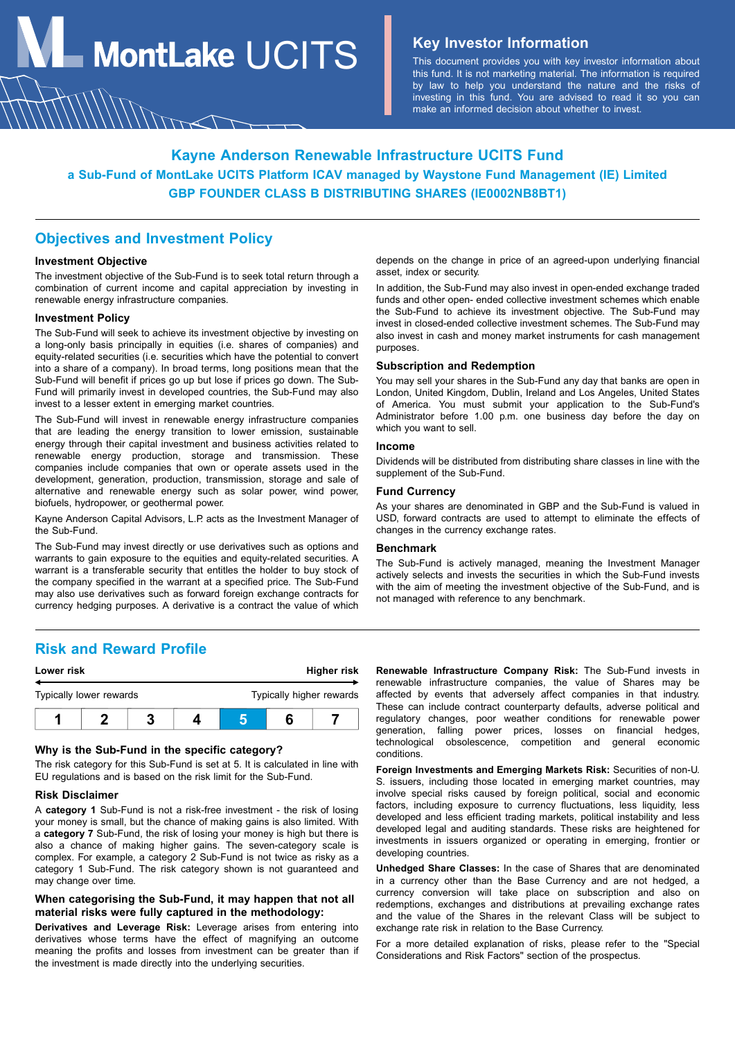**MontLake**  $UCITS$  **Key Investor Information** 

This document provides you with key investor information about this fund. It is not marketing material. The information is required by law to help you understand the nature and the risks of investing in this fund. You are advised to read it so you can make an informed decision about whether to invest.

# **Kayne Anderson Renewable Infrastructure UCITS Fund a Sub-Fund of MontLake UCITS Platform ICAV managed by Waystone Fund Management (IE) Limited GBP FOUNDER CLASS B DISTRIBUTING SHARES (IE0002NB8BT1)**

## **Objectives and Investment Policy**

#### **Investment Objective**

The investment objective of the Sub-Fund is to seek total return through a combination of current income and capital appreciation by investing in renewable energy infrastructure companies.

#### **Investment Policy**

The Sub-Fund will seek to achieve its investment objective by investing on a long-only basis principally in equities (i.e. shares of companies) and equity-related securities (i.e. securities which have the potential to convert into a share of a company). In broad terms, long positions mean that the Sub-Fund will benefit if prices go up but lose if prices go down. The Sub-Fund will primarily invest in developed countries, the Sub-Fund may also invest to a lesser extent in emerging market countries.

The Sub-Fund will invest in renewable energy infrastructure companies that are leading the energy transition to lower emission, sustainable energy through their capital investment and business activities related to renewable energy production, storage and transmission. These companies include companies that own or operate assets used in the development, generation, production, transmission, storage and sale of alternative and renewable energy such as solar power, wind power, biofuels, hydropower, or geothermal power.

Kayne Anderson Capital Advisors, L.P. acts as the Investment Manager of the Sub-Fund.

The Sub-Fund may invest directly or use derivatives such as options and warrants to gain exposure to the equities and equity-related securities. A warrant is a transferable security that entitles the holder to buy stock of the company specified in the warrant at a specified price. The Sub-Fund may also use derivatives such as forward foreign exchange contracts for currency hedging purposes. A derivative is a contract the value of which

**Risk and Reward Profile**

| Lower risk              |  |  | Higher risk |                          |  |  |
|-------------------------|--|--|-------------|--------------------------|--|--|
| Typically lower rewards |  |  |             | Typically higher rewards |  |  |
|                         |  |  |             |                          |  |  |

### **Why is the Sub-Fund in the specific category?**

The risk category for this Sub-Fund is set at 5. It is calculated in line with EU regulations and is based on the risk limit for the Sub-Fund.

#### **Risk Disclaimer**

A **category 1** Sub-Fund is not a risk-free investment - the risk of losing your money is small, but the chance of making gains is also limited. With a **category 7** Sub-Fund, the risk of losing your money is high but there is also a chance of making higher gains. The seven-category scale is complex. For example, a category 2 Sub-Fund is not twice as risky as a category 1 Sub-Fund. The risk category shown is not guaranteed and may change over time.

### **When categorising the Sub-Fund, it may happen that not all material risks were fully captured in the methodology:**

**Derivatives and Leverage Risk:** Leverage arises from entering into derivatives whose terms have the effect of magnifying an outcome meaning the profits and losses from investment can be greater than if the investment is made directly into the underlying securities.

depends on the change in price of an agreed-upon underlying financial asset, index or security.

In addition, the Sub-Fund may also invest in open-ended exchange traded funds and other open- ended collective investment schemes which enable the Sub-Fund to achieve its investment objective. The Sub-Fund may invest in closed-ended collective investment schemes. The Sub-Fund may also invest in cash and money market instruments for cash management purposes.

#### **Subscription and Redemption**

You may sell your shares in the Sub-Fund any day that banks are open in London, United Kingdom, Dublin, Ireland and Los Angeles, United States of America. You must submit your application to the Sub-Fund's Administrator before 1.00 p.m. one business day before the day on which you want to sell.

#### **Income**

Dividends will be distributed from distributing share classes in line with the supplement of the Sub-Fund.

### **Fund Currency**

As your shares are denominated in GBP and the Sub-Fund is valued in USD, forward contracts are used to attempt to eliminate the effects of changes in the currency exchange rates.

### **Benchmark**

The Sub-Fund is actively managed, meaning the Investment Manager actively selects and invests the securities in which the Sub-Fund invests with the aim of meeting the investment objective of the Sub-Fund, and is not managed with reference to any benchmark.

**Renewable Infrastructure Company Risk:** The Sub-Fund invests in renewable infrastructure companies, the value of Shares may be affected by events that adversely affect companies in that industry. These can include contract counterparty defaults, adverse political and regulatory changes, poor weather conditions for renewable power generation, falling power prices, losses on financial hedges, technological obsolescence, competition and general economic conditions.

**Foreign Investments and Emerging Markets Risk:** Securities of non-U. S. issuers, including those located in emerging market countries, may involve special risks caused by foreign political, social and economic factors, including exposure to currency fluctuations, less liquidity, less developed and less efficient trading markets, political instability and less developed legal and auditing standards. These risks are heightened for investments in issuers organized or operating in emerging, frontier or developing countries.

**Unhedged Share Classes:** In the case of Shares that are denominated in a currency other than the Base Currency and are not hedged, a currency conversion will take place on subscription and also on redemptions, exchanges and distributions at prevailing exchange rates and the value of the Shares in the relevant Class will be subject to exchange rate risk in relation to the Base Currency.

For a more detailed explanation of risks, please refer to the "Special Considerations and Risk Factors" section of the prospectus.